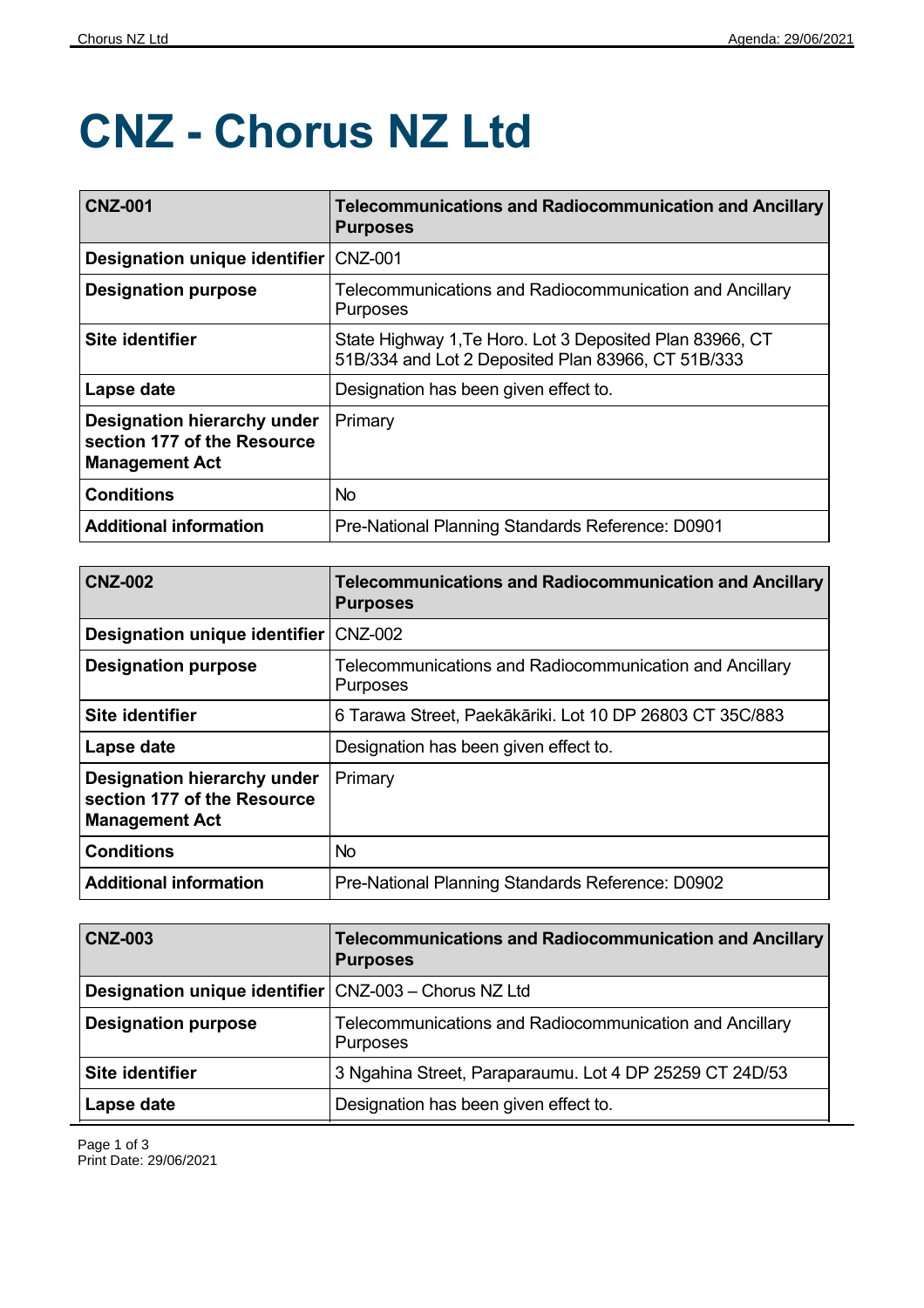## **CNZ - Chorus NZ Ltd**

| <b>CNZ-001</b>                                                                      | <b>Telecommunications and Radiocommunication and Ancillary</b><br><b>Purposes</b>                              |
|-------------------------------------------------------------------------------------|----------------------------------------------------------------------------------------------------------------|
| Designation unique identifier                                                       | <b>CNZ-001</b>                                                                                                 |
| <b>Designation purpose</b>                                                          | Telecommunications and Radiocommunication and Ancillary<br><b>Purposes</b>                                     |
| <b>Site identifier</b>                                                              | State Highway 1, Te Horo. Lot 3 Deposited Plan 83966, CT<br>51B/334 and Lot 2 Deposited Plan 83966, CT 51B/333 |
| Lapse date                                                                          | Designation has been given effect to.                                                                          |
| Designation hierarchy under<br>section 177 of the Resource<br><b>Management Act</b> | Primary                                                                                                        |
| <b>Conditions</b>                                                                   | <b>No</b>                                                                                                      |
| <b>Additional information</b>                                                       | Pre-National Planning Standards Reference: D0901                                                               |

| <b>CNZ-002</b>                                                                             | <b>Telecommunications and Radiocommunication and Ancillary</b><br><b>Purposes</b> |
|--------------------------------------------------------------------------------------------|-----------------------------------------------------------------------------------|
| Designation unique identifier                                                              | <b>CNZ-002</b>                                                                    |
| <b>Designation purpose</b>                                                                 | Telecommunications and Radiocommunication and Ancillary<br><b>Purposes</b>        |
| <b>Site identifier</b>                                                                     | 6 Tarawa Street, Paekākāriki. Lot 10 DP 26803 CT 35C/883                          |
| Lapse date                                                                                 | Designation has been given effect to.                                             |
| <b>Designation hierarchy under</b><br>section 177 of the Resource<br><b>Management Act</b> | Primary                                                                           |
| <b>Conditions</b>                                                                          | <b>No</b>                                                                         |
| <b>Additional information</b>                                                              | Pre-National Planning Standards Reference: D0902                                  |

| <b>CNZ-003</b>                                                 | Telecommunications and Radiocommunication and Ancillary<br><b>Purposes</b> |
|----------------------------------------------------------------|----------------------------------------------------------------------------|
| <b>Designation unique identifier   CNZ-003 - Chorus NZ Ltd</b> |                                                                            |
| <b>Designation purpose</b>                                     | Telecommunications and Radiocommunication and Ancillary<br>Purposes        |
| <b>Site identifier</b>                                         | 3 Ngahina Street, Paraparaumu. Lot 4 DP 25259 CT 24D/53                    |
| Lapse date                                                     | Designation has been given effect to.                                      |

Page 1 of 3 Print Date: 29/06/2021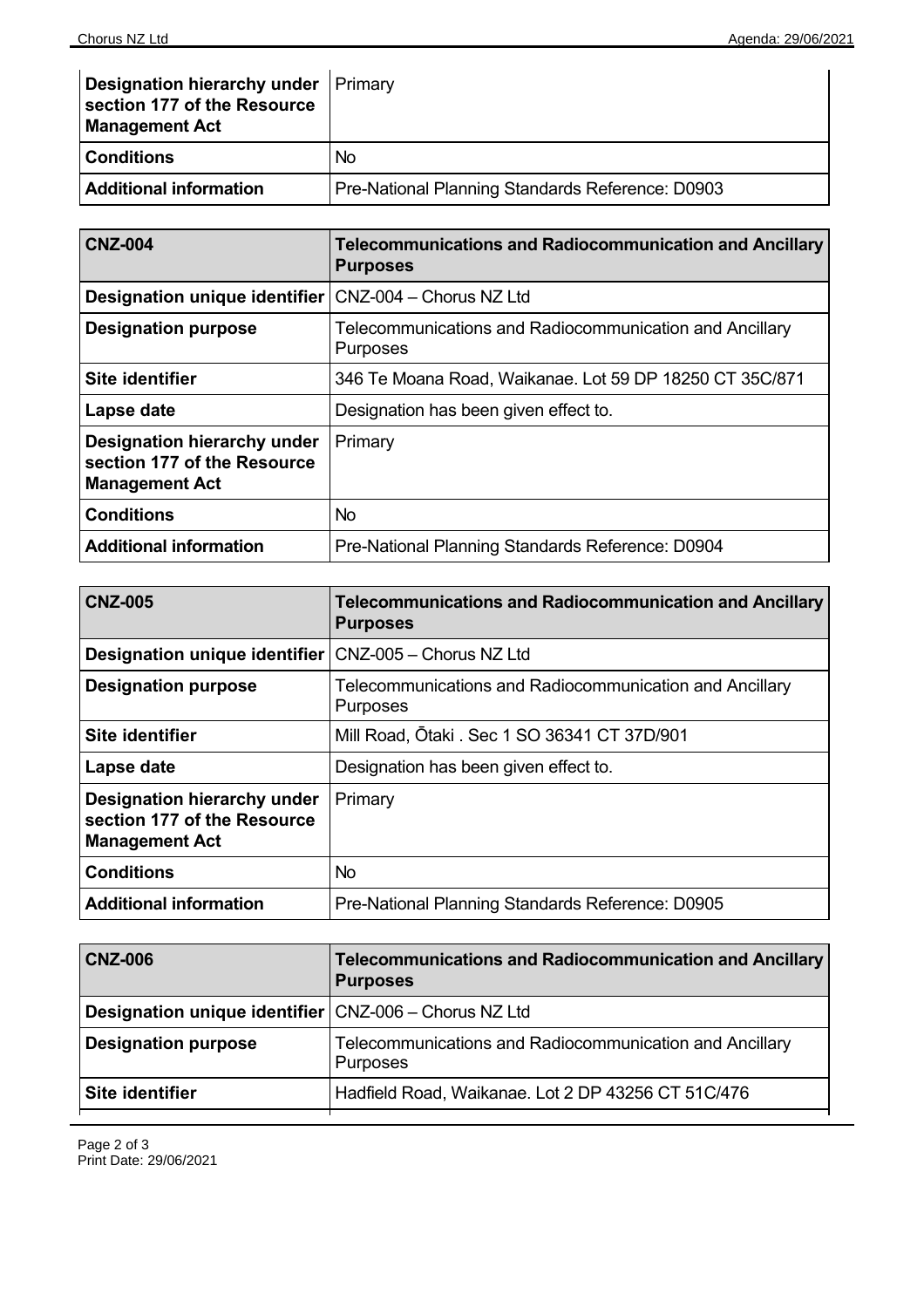| <b>Designation hierarchy under   Primary</b><br>section 177 of the Resource<br><b>Management Act</b> |                                                  |
|------------------------------------------------------------------------------------------------------|--------------------------------------------------|
| <b>Conditions</b>                                                                                    | No.                                              |
| <b>Additional information</b>                                                                        | Pre-National Planning Standards Reference: D0903 |

| <b>CNZ-004</b>                                                                      | <b>Telecommunications and Radiocommunication and Ancillary</b><br><b>Purposes</b> |
|-------------------------------------------------------------------------------------|-----------------------------------------------------------------------------------|
| Designation unique identifier                                                       | CNZ-004 - Chorus NZ Ltd                                                           |
| <b>Designation purpose</b>                                                          | Telecommunications and Radiocommunication and Ancillary<br><b>Purposes</b>        |
| Site identifier                                                                     | 346 Te Moana Road, Waikanae. Lot 59 DP 18250 CT 35C/871                           |
| Lapse date                                                                          | Designation has been given effect to.                                             |
| Designation hierarchy under<br>section 177 of the Resource<br><b>Management Act</b> | Primary                                                                           |
| <b>Conditions</b>                                                                   | <b>No</b>                                                                         |
| <b>Additional information</b>                                                       | Pre-National Planning Standards Reference: D0904                                  |

| <b>CNZ-005</b>                                                                      | <b>Telecommunications and Radiocommunication and Ancillary</b><br><b>Purposes</b> |
|-------------------------------------------------------------------------------------|-----------------------------------------------------------------------------------|
| Designation unique identifier   CNZ-005 - Chorus NZ Ltd                             |                                                                                   |
| <b>Designation purpose</b>                                                          | Telecommunications and Radiocommunication and Ancillary<br><b>Purposes</b>        |
| Site identifier                                                                     | Mill Road, Otaki . Sec 1 SO 36341 CT 37D/901                                      |
| Lapse date                                                                          | Designation has been given effect to.                                             |
| Designation hierarchy under<br>section 177 of the Resource<br><b>Management Act</b> | Primary                                                                           |
| <b>Conditions</b>                                                                   | <b>No</b>                                                                         |
| <b>Additional information</b>                                                       | Pre-National Planning Standards Reference: D0905                                  |

| <b>CNZ-006</b>                                               | Telecommunications and Radiocommunication and Ancillary<br><b>Purposes</b> |
|--------------------------------------------------------------|----------------------------------------------------------------------------|
| <b>Designation unique identifier CNZ-006 - Chorus NZ Ltd</b> |                                                                            |
| <b>Designation purpose</b>                                   | Telecommunications and Radiocommunication and Ancillary<br>Purposes        |
| Site identifier                                              | Hadfield Road, Waikanae. Lot 2 DP 43256 CT 51C/476                         |